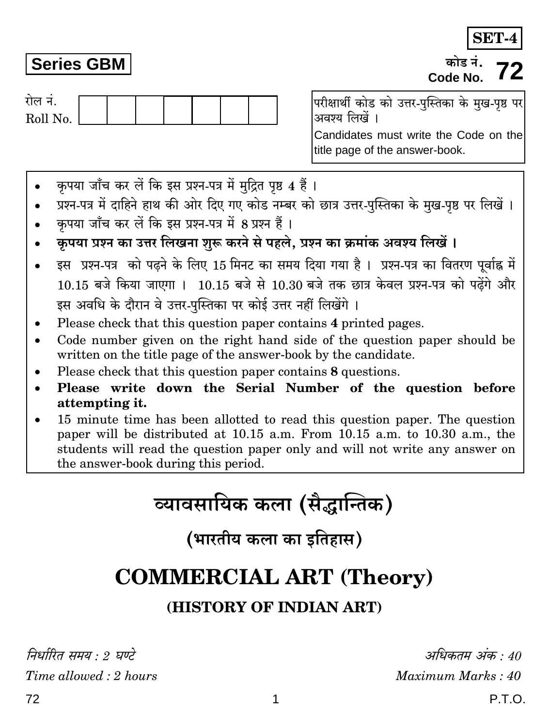**SET-4** कोड़ नं Code No.

| राल न.   |  |  |  |  |
|----------|--|--|--|--|
| Roll No. |  |  |  |  |

परीक्षार्थी कोड को उत्तर-पस्तिका के मख-पष्ठ पर अवश्य लिखें ।

Candidates must write the Code on the title page of the answer-book.

- कपया जाँच कर लें कि इस प्रश्न-पत्र में मुद्रित पृष्ठ 4 हैं।
- प्रश्न-पत्र में दाहिने हाथ की ओर दिए गए कोड नम्बर को छात्र उत्तर-पुस्तिका के मुख-पृष्ठ पर लिखें ।
- कपया जाँच कर लें कि इस प्रश्न-पत्र में 8 प्रश्न हैं।
- कृपया प्रश्न का उत्तर लिखना शुरू करने से पहले, प्रश्न का क्रमांक अवश्य लिखें ।
- इस प्रश्न-पत्र को पढने के लिए 15 मिनट का समय दिया गया है। प्रश्न-पत्र का वितरण पूर्वाह्न में 10.15 बजे किया जाएगा । 10.15 बजे से 10.30 बजे तक छात्र केवल प्रश्न-पत्र को पढ़ेंगे और इस अवधि के दौरान वे उत्तर-पुस्तिका पर कोई उत्तर नहीं लिखेंगे ।
- Please check that this question paper contains 4 printed pages.
- Code number given on the right hand side of the question paper should be written on the title page of the answer-book by the candidate.
- Please check that this question paper contains 8 questions.
- Please write down the Serial Number of the question before attempting it.
- 15 minute time has been allotted to read this question paper. The question paper will be distributed at 10.15 a.m. From 10.15 a.m. to 10.30 a.m., the students will read the question paper only and will not write any answer on the answer-book during this period.

# व्यावसायिक कला (सैद्धान्तिक)

(भारतीय कला का इतिहास)

## **COMMERCIAL ART (Theory)**

### (HISTORY OF INDIAN ART)

निर्धारित समय : 2 घण्टे Time allowed: 2 hours

अधिकतम अंक : 40 Maximum Marks: 40  $P.T.O.$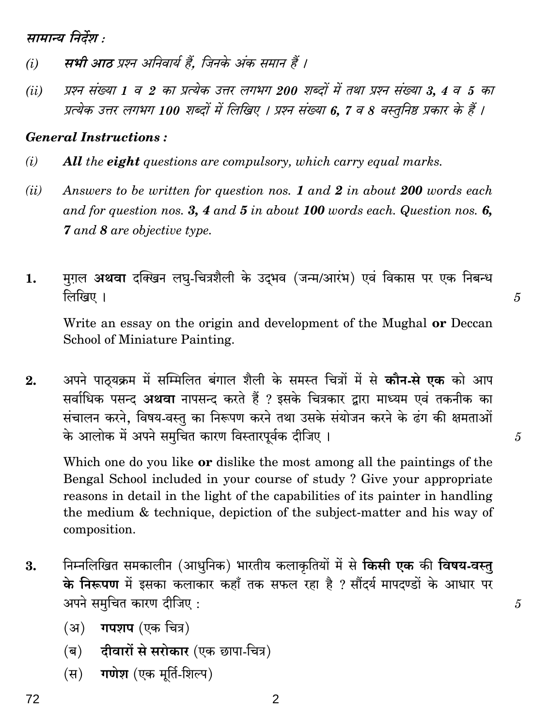सामान्य निर्देश :

- सभी आठ प्रश्न अनिवार्य हैं. जिनके अंक समान हैं ।  $(i)$
- प्रश्न संख्या 1 व 2 का प्रत्येक उत्तर लगभग 200 शब्दों में तथा प्रश्न संख्या 3, 4 व 5 का  $(ii)$ प्रत्येक उत्तर लगभग 100 शब्दों में लिखिए । प्रश्न संख्या 6, 7 व 8 वस्तुनिष्ठ प्रकार के हैं ।

### **General Instructions:**

- $(i)$ **All the eight questions are compulsory, which carry equal marks.**
- Answers to be written for question nos. 1 and 2 in about 200 words each  $(ii)$ and for question nos. 3, 4 and 5 in about 100 words each. Question nos. 6, **7** and 8 are objective type.
- मग़ल अथवा दक्खिन लघृ-चित्रशैली के उदभव (जन्म/आरंभ) एवं विकास पर एक निबन्ध 1. लिखिए ।

Write an essay on the origin and development of the Mughal **or** Deccan School of Miniature Painting.

अपने पाठयक्रम में सम्मिलित बंगाल शैली के समस्त चित्रों में से **कौन-से एक** को आप  $\overline{2}$ . सर्वाधिक पसन्द अथवा नापसन्द करते हैं ? इसके चित्रकार द्वारा माध्यम एवं तकनीक का संचालन करने, विषय-वस्तु का निरूपण करने तथा उसके संयोजन करने के ढंग की क्षमताओं के आलोक में अपने समूचित कारण विस्तारपूर्वक दीजिए।

Which one do you like or dislike the most among all the paintings of the Bengal School included in your course of study? Give your appropriate reasons in detail in the light of the capabilities of its painter in handling the medium & technique, depiction of the subject-matter and his way of composition.

- निम्नलिखित समकालीन (आधुनिक) भारतीय कलाकृतियों में से **किसी एक** की **विषय-वस्त्** 3. के निरूपण में इसका कलाकार कहाँ तक सफल रहा है ? सौंदर्य मापदण्डों के आधार पर अपने समुचित कारण दीजिए:
	- (अ) **गपशप** (एक चित्र)
	- (ब) दीवारों से सरोकार (एक छापा-चित्र)
	- (स) गणेश (एक मूर्ति-शिल्प)

 $\overline{2}$ 

5

5

 $\mathcal{L}$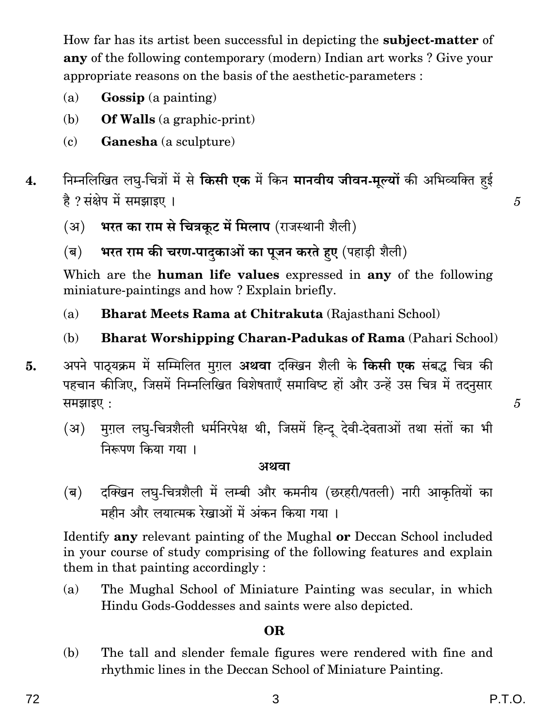How far has its artist been successful in depicting the **subject-matter** of **any** of the following contemporary (modern) Indian art works? Give your appropriate reasons on the basis of the aesthetic-parameters :

- $(a)$ **Gossip** (a painting)
- **Of Walls** (a graphic-print) (b)
- $(c)$ Ganesha (a sculpture)
- निम्नलिखित लघु-चित्रों में से **किसी एक** में किन **मानवीय जीवन-मूल्यों** की अभिव्यक्ति हई  $\overline{4}$ . है ? संक्षेप में समझाइए ।
	- भरत का राम से चित्रकूट में मिलाप (राजस्थानी शैली)  $(3)$
	- भरत राम की चरण-पादकाओं का पूजन करते हुए (पहाड़ी शैली)  $(\overline{\mathbf{q}})$

Which are the **human life values** expressed in **any** of the following miniature-paintings and how? Explain briefly.

- $(a)$ **Bharat Meets Rama at Chitrakuta** (Rajasthani School)
- $(b)$ **Bharat Worshipping Charan-Padukas of Rama** (Pahari School)
- अपने पाठयक्रम में सम्मिलित मुग़ल **अथवा** दक्खिन शैली के **किसी एक** संबद्ध चित्र की 5. पहचान कीजिए, जिसमें निम्नलिखित विशेषताएँ समाविष्ट हों और उन्हें उस चित्र में तदनुसार समझाइए:
	- मुग़ल लघु-चित्रशैली धर्मनिरपेक्ष थी, जिसमें हिन्दू देवी-देवताओं तथा संतों का भी  $(\mathfrak{F})$ निरूपण किया गया।

#### अथवा

 $(\overline{\mathbf{e}})$ दक्खिन लघु-चित्रशैली में लम्बी और कमनीय (छरहरी/पतली) नारी आकृतियों का महीन और लयात्मक रेखाओं में अंकन किया गया ।

Identify any relevant painting of the Mughal or Deccan School included in your course of study comprising of the following features and explain them in that painting accordingly:

 $(a)$ The Mughal School of Miniature Painting was secular, in which Hindu Gods-Goddesses and saints were also depicted.

### **OR**

The tall and slender female figures were rendered with fine and (b) rhythmic lines in the Deccan School of Miniature Painting.

5

 $\overline{5}$